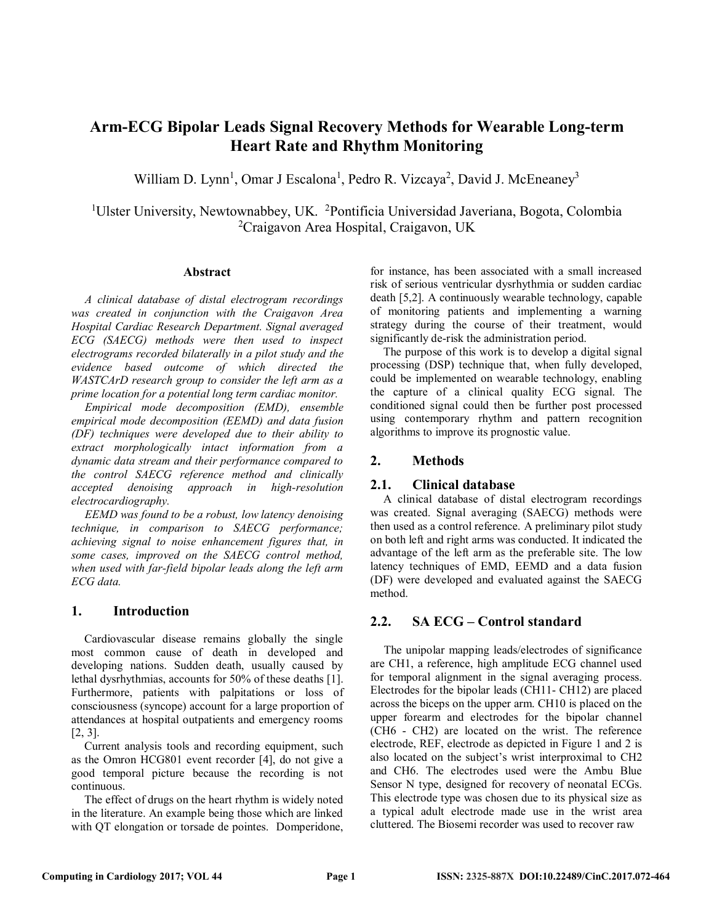# **Arm-ECG Bipolar Leads Signal Recovery Methods for Wearable Long-term Heart Rate and Rhythm Monitoring**

William D. Lynn<sup>1</sup>, Omar J Escalona<sup>1</sup>, Pedro R. Vizcaya<sup>2</sup>, David J. McEneaney<sup>3</sup>

<sup>1</sup>Ulster University, Newtownabbey, UK. <sup>2</sup>Pontificia Universidad Javeriana, Bogota, Colombia 2 Craigavon Area Hospital, Craigavon, UK

## **Abstract**

*A clinical database of distal electrogram recordings was created in conjunction with the Craigavon Area Hospital Cardiac Research Department. Signal averaged ECG (SAECG) methods were then used to inspect electrograms recorded bilaterally in a pilot study and the evidence based outcome of which directed the WASTCArD research group to consider the left arm as a prime location for a potential long term cardiac monitor.* 

*Empirical mode decomposition (EMD), ensemble empirical mode decomposition (EEMD) and data fusion (DF) techniques were developed due to their ability to extract morphologically intact information from a dynamic data stream and their performance compared to the control SAECG reference method and clinically accepted denoising approach in high-resolution electrocardiography.* 

*EEMD was found to be a robust, low latency denoising technique, in comparison to SAECG performance; achieving signal to noise enhancement figures that, in some cases, improved on the SAECG control method, when used with far-field bipolar leads along the left arm ECG data.* 

# **1. Introduction**

Cardiovascular disease remains globally the single most common cause of death in developed and developing nations. Sudden death, usually caused by lethal dysrhythmias, accounts for 50% of these deaths [1]. Furthermore, patients with palpitations or loss of consciousness (syncope) account for a large proportion of attendances at hospital outpatients and emergency rooms [2, 3].

Current analysis tools and recording equipment, such as the Omron HCG801 event recorder [4], do not give a good temporal picture because the recording is not continuous.

The effect of drugs on the heart rhythm is widely noted in the literature. An example being those which are linked with QT elongation or torsade de pointes. Domperidone, for instance, has been associated with a small increased risk of serious ventricular dysrhythmia or sudden cardiac death [5,2]. A continuously wearable technology, capable of monitoring patients and implementing a warning strategy during the course of their treatment, would significantly de-risk the administration period.

The purpose of this work is to develop a digital signal processing (DSP) technique that, when fully developed, could be implemented on wearable technology, enabling the capture of a clinical quality ECG signal. The conditioned signal could then be further post processed using contemporary rhythm and pattern recognition algorithms to improve its prognostic value.

# **2. Methods**

# **2.1. Clinical database**

A clinical database of distal electrogram recordings was created. Signal averaging (SAECG) methods were then used as a control reference. A preliminary pilot study on both left and right arms was conducted. It indicated the advantage of the left arm as the preferable site. The low latency techniques of EMD, EEMD and a data fusion (DF) were developed and evaluated against the SAECG method.

# **2.2. SA ECG – Control standard**

The unipolar mapping leads/electrodes of significance are CH1, a reference, high amplitude ECG channel used for temporal alignment in the signal averaging process. Electrodes for the bipolar leads (CH11- CH12) are placed across the biceps on the upper arm. CH10 is placed on the upper forearm and electrodes for the bipolar channel (CH6 - CH2) are located on the wrist. The reference electrode, REF, electrode as depicted in Figure 1 and 2 is also located on the subject's wrist interproximal to CH2 and CH6. The electrodes used were the Ambu Blue Sensor N type, designed for recovery of neonatal ECGs. This electrode type was chosen due to its physical size as a typical adult electrode made use in the wrist area cluttered. The Biosemi recorder was used to recover raw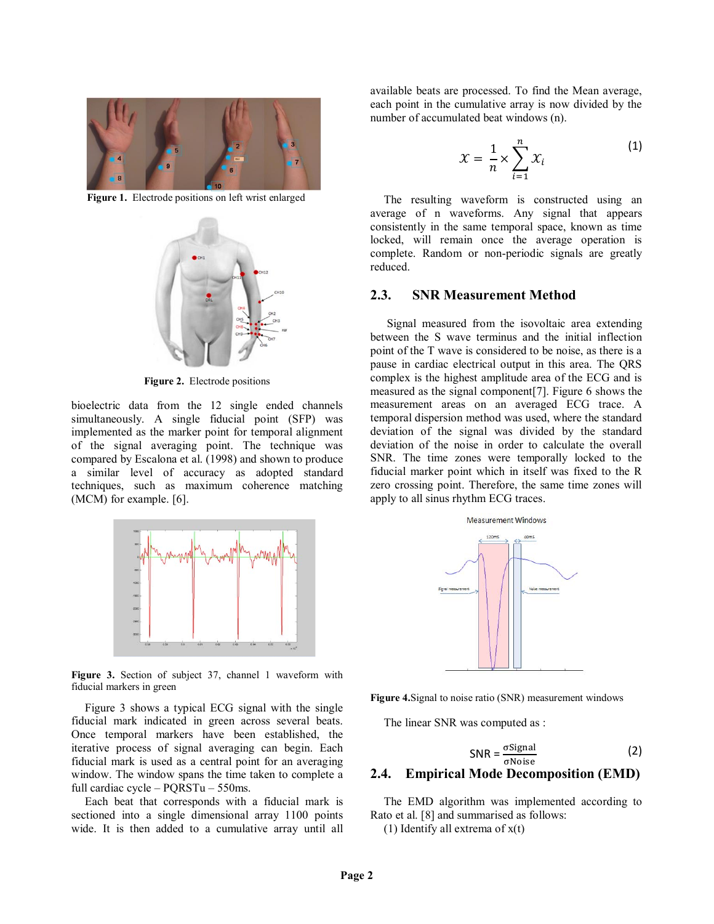

Figure 1. Electrode positions on left wrist enlarged



**Figure 2.** Electrode positions

bioelectric data from the 12 single ended channels simultaneously. A single fiducial point (SFP) was implemented as the marker point for temporal alignment of the signal averaging point. The technique was compared by Escalona et al. (1998) and shown to produce a similar level of accuracy as adopted standard techniques, such as maximum coherence matching (MCM) for example. [6].



**Figure 3.** Section of subject 37, channel 1 waveform with fiducial markers in green

Figure 3 shows a typical ECG signal with the single fiducial mark indicated in green across several beats. Once temporal markers have been established, the iterative process of signal averaging can begin. Each fiducial mark is used as a central point for an averaging window. The window spans the time taken to complete a full cardiac cycle – PQRSTu – 550ms.

Each beat that corresponds with a fiducial mark is sectioned into a single dimensional array 1100 points wide. It is then added to a cumulative array until all

available beats are processed. To find the Mean average, each point in the cumulative array is now divided by the number of accumulated beat windows (n).

$$
\mathcal{X} = \frac{1}{n} \times \sum_{i=1}^{n} \mathcal{X}_i
$$
 (1)

The resulting waveform is constructed using an average of n waveforms. Any signal that appears consistently in the same temporal space, known as time locked, will remain once the average operation is complete. Random or non-periodic signals are greatly reduced.

## **2.3. SNR Measurement Method**

 Signal measured from the isovoltaic area extending between the S wave terminus and the initial inflection point of the T wave is considered to be noise, as there is a pause in cardiac electrical output in this area. The QRS complex is the highest amplitude area of the ECG and is measured as the signal component[7]. Figure 6 shows the measurement areas on an averaged ECG trace. A temporal dispersion method was used, where the standard deviation of the signal was divided by the standard deviation of the noise in order to calculate the overall SNR. The time zones were temporally locked to the fiducial marker point which in itself was fixed to the R zero crossing point. Therefore, the same time zones will apply to all sinus rhythm ECG traces.



**Figure 4.**Signal to noise ratio (SNR) measurement windows

The linear SNR was computed as :

$$
SNR = \frac{\sigma Signal}{\sigma Noise}
$$
 (2)  
2.4. Empirical Mode Decomposition (EMD)

The EMD algorithm was implemented according to Rato et al. [8] and summarised as follows:

(1) Identify all extrema of  $x(t)$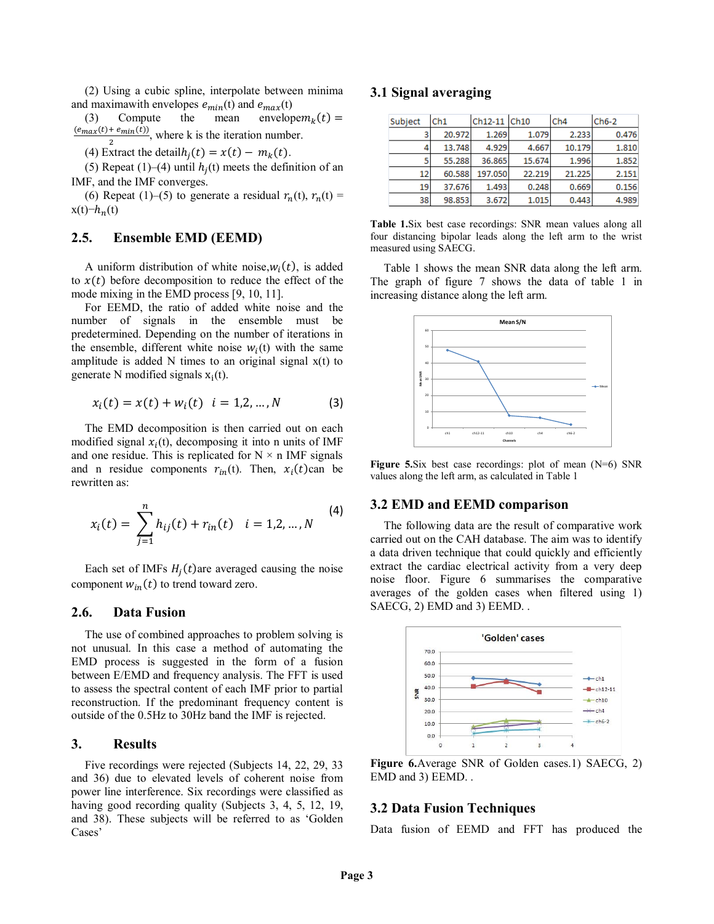(2) Using a cubic spline, interpolate between minima and maximawith envelopes  $e_{min}(t)$  and  $e_{max}(t)$ <br>(3) Compute the mean envelope $m_k(t)$  =

(3) Compute the mean envelope $m_k(t) = (e_{max}(t) + e_{min}(t))$  where k is the iteration number  $\frac{F_{\text{e}}(t)}{2}$ , where k is the iteration number.

(4) Extract the detail $h_i(t) = x(t) - m_k(t)$ .

(5) Repeat (1)–(4) until  $h_i(t)$  meets the definition of an IMF, and the IMF converges.

(6) Repeat (1)–(5) to generate a residual  $r_n(t)$ ,  $r_n(t)$  =  $x(t)$ − $h_n(t)$ 

## **2.5. Ensemble EMD (EEMD)**

A uniform distribution of white noise, $w_i(t)$ , is added to  $x(t)$  before decomposition to reduce the effect of the mode mixing in the EMD process [9, 10, 11].

For EEMD, the ratio of added white noise and the number of signals in the ensemble must be predetermined. Depending on the number of iterations in the ensemble, different white noise  $w_i(t)$  with the same amplitude is added  $N$  times to an original signal  $x(t)$  to generate N modified signals  $x_i(t)$ .

$$
x_i(t) = x(t) + w_i(t) \quad i = 1, 2, ..., N \tag{3}
$$

The EMD decomposition is then carried out on each modified signal  $x_i(t)$ , decomposing it into n units of IMF and one residue. This is replicated for  $N \times n$  IMF signals and n residue components  $r_{in}(t)$ . Then,  $x_i(t)$ can be rewritten as:

$$
x_i(t) = \sum_{j=1}^n h_{ij}(t) + r_{in}(t) \quad i = 1, 2, ..., N
$$
 (4)

Each set of IMFs  $H_i(t)$ are averaged causing the noise component  $w_{in}(t)$  to trend toward zero.

#### **2.6. Data Fusion**

The use of combined approaches to problem solving is not unusual. In this case a method of automating the EMD process is suggested in the form of a fusion between E/EMD and frequency analysis. The FFT is used to assess the spectral content of each IMF prior to partial reconstruction. If the predominant frequency content is outside of the 0.5Hz to 30Hz band the IMF is rejected.

# **3. Results**

Five recordings were rejected (Subjects 14, 22, 29, 33 and 36) due to elevated levels of coherent noise from power line interference. Six recordings were classified as having good recording quality (Subjects 3, 4, 5, 12, 19, and 38). These subjects will be referred to as 'Golden Cases'

## **3.1 Signal averaging**

| Subject | Ch1    | Ch12-11 Ch10 |        | Ch4    | $Ch6-2$ |
|---------|--------|--------------|--------|--------|---------|
| 3       | 20.972 | 1.269        | 1.079  | 2.233  | 0.476   |
| 4       | 13.748 | 4.929        | 4.667  | 10.179 | 1.810   |
| 5       | 55.288 | 36.865       | 15.674 | 1.996  | 1.852   |
| 12      | 60.588 | 197.050      | 22.219 | 21.225 | 2.151   |
| 19      | 37.676 | 1.493        | 0.248  | 0.669  | 0.156   |
| 38      | 98.853 | 3.672        | 1.015  | 0.443  | 4.989   |

**Table 1.**Six best case recordings: SNR mean values along all four distancing bipolar leads along the left arm to the wrist measured using SAECG.

Table 1 shows the mean SNR data along the left arm. The graph of figure 7 shows the data of table 1 in increasing distance along the left arm.



**Figure 5.**Six best case recordings: plot of mean (N=6) SNR values along the left arm, as calculated in Table 1

#### **3.2 EMD and EEMD comparison**

The following data are the result of comparative work carried out on the CAH database. The aim was to identify a data driven technique that could quickly and efficiently extract the cardiac electrical activity from a very deep noise floor. Figure 6 summarises the comparative averages of the golden cases when filtered using 1) SAECG, 2) EMD and 3) EEMD. .



**Figure 6.**Average SNR of Golden cases.1) SAECG, 2) EMD and 3) EEMD. .

## **3.2 Data Fusion Techniques**

Data fusion of EEMD and FFT has produced the